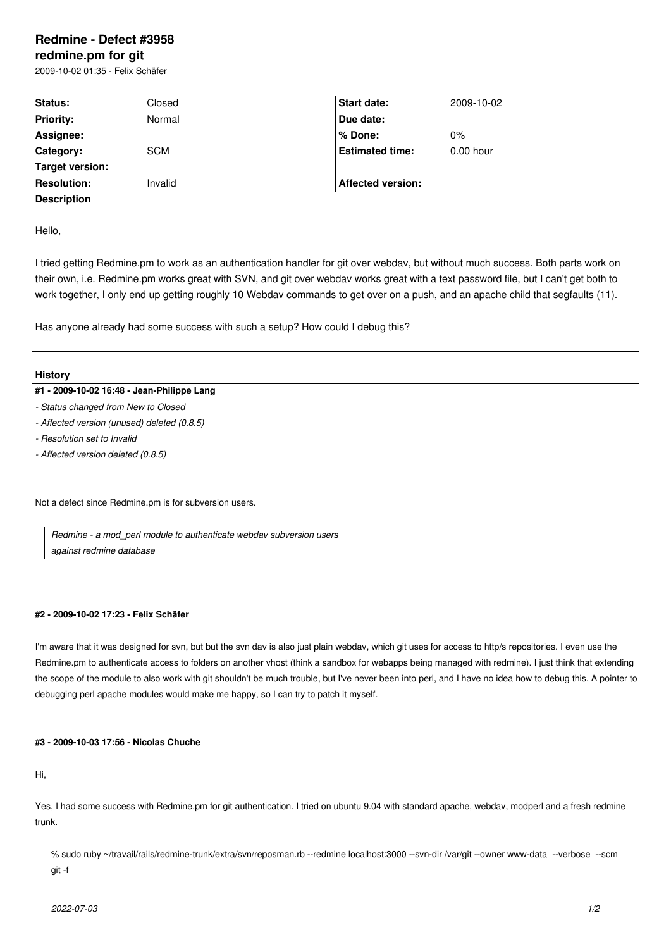# **Redmine - Defect #3958**

# **redmine.pm for git**

2009-10-02 01:35 - Felix Schäfer

| <b>Status:</b>     | Closed     | <b>Start date:</b>       | 2009-10-02  |
|--------------------|------------|--------------------------|-------------|
| <b>Priority:</b>   | Normal     | Due date:                |             |
| Assignee:          |            | l% Done:                 | $0\%$       |
| Category:          | <b>SCM</b> | <b>Estimated time:</b>   | $0.00$ hour |
| Target version:    |            |                          |             |
| <b>Resolution:</b> | Invalid    | <b>Affected version:</b> |             |
| ______             |            |                          |             |

**Description**

Hello,

I tried getting Redmine.pm to work as an authentication handler for git over webdav, but without much success. Both parts work on their own, i.e. Redmine.pm works great with SVN, and git over webdav works great with a text password file, but I can't get both to work together, I only end up getting roughly 10 Webdav commands to get over on a push, and an apache child that segfaults (11).

Has anyone already had some success with such a setup? How could I debug this?

### **History**

## **#1 - 2009-10-02 16:48 - Jean-Philippe Lang**

- *Status changed from New to Closed*
- *Affected version (unused) deleted (0.8.5)*
- *Resolution set to Invalid*
- *Affected version deleted (0.8.5)*

Not a defect since Redmine.pm is for subversion users.

*Redmine - a mod\_perl module to authenticate webdav subversion users against redmine database*

#### **#2 - 2009-10-02 17:23 - Felix Schäfer**

I'm aware that it was designed for svn, but but the svn dav is also just plain webdav, which git uses for access to http/s repositories. I even use the Redmine.pm to authenticate access to folders on another vhost (think a sandbox for webapps being managed with redmine). I just think that extending the scope of the module to also work with git shouldn't be much trouble, but I've never been into perl, and I have no idea how to debug this. A pointer to debugging perl apache modules would make me happy, so I can try to patch it myself.

#### **#3 - 2009-10-03 17:56 - Nicolas Chuche**

Hi,

Yes, I had some success with Redmine.pm for git authentication. I tried on ubuntu 9.04 with standard apache, webdav, modperl and a fresh redmine trunk.

% sudo ruby ~/travail/rails/redmine-trunk/extra/svn/reposman.rb --redmine localhost:3000 --svn-dir /var/git --owner www-data --verbose --scm git -f